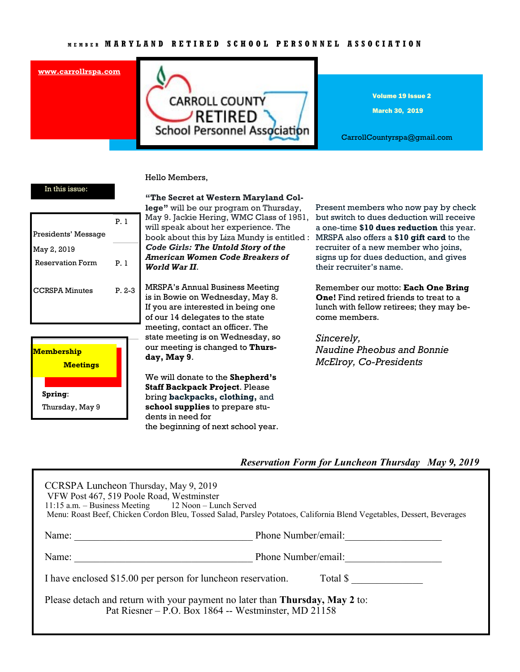#### **[www.carrollrspa.com](http://www.carrollrspa.org/)**



Volume 19 Issue 2

March 30, 2019

CarrollCountyrspa@gmail.com

### In this issue:

|                         | P. 1     |
|-------------------------|----------|
| Presidents' Message     |          |
| May 2, 2019             |          |
| <b>Reservation Form</b> | P. 1     |
|                         |          |
| CCRSPA Minutes          | $P. 2-3$ |
|                         |          |
|                         |          |



#### **"The Secret at Western Maryland Col-**

Hello Members,

**lege"** will be our program on Thursday, May 9. Jackie Hering, WMC Class of 1951, will speak about her experience. The book about this by Liza Mundy is entitled : MRSPA also offers a **\$10 gift card** to the *Code Girls: The Untold Story of the American Women Code Breakers of World War II*.

MRSPA's Annual Business Meeting is in Bowie on Wednesday, May 8. If you are interested in being one of our 14 delegates to the state meeting, contact an officer. The state meeting is on Wednesday, so our meeting is changed to **Thursday, May 9**.

We will donate to the **Shepherd's Staff Backpack Project**. Please bring **backpacks, clothing,** and **school supplies** to prepare students in need for the beginning of next school year.

Present members who now pay by check but switch to dues deduction will receive a one-time **\$10 dues reduction** this year. recruiter of a new member who joins, signs up for dues deduction, and gives their recruiter's name.

Remember our motto: **Each One Bring One!** Find retired friends to treat to a lunch with fellow retirees; they may become members.

*Sincerely, Naudine Pheobus and Bonnie McElroy, Co-Presidents*

## *Reservation Form for Luncheon Thursday May 9, 2019*

| CCRSPA Luncheon Thursday, May 9, 2019<br>VFW Post 467, 519 Poole Road, Westminster<br>11:15 a.m. – Business Meeting 12 Noon – Lunch Served<br>Menu: Roast Beef, Chicken Cordon Bleu, Tossed Salad, Parsley Potatoes, California Blend Vegetables, Dessert, Beverages |                     |
|----------------------------------------------------------------------------------------------------------------------------------------------------------------------------------------------------------------------------------------------------------------------|---------------------|
| Name:                                                                                                                                                                                                                                                                | Phone Number/email: |
| Name:                                                                                                                                                                                                                                                                | Phone Number/email: |
| I have enclosed \$15.00 per person for luncheon reservation.<br>Total \$                                                                                                                                                                                             |                     |
| Please detach and return with your payment no later than <b>Thursday</b> , May 2 to:<br>Pat Riesner – P.O. Box 1864 -- Westminster, MD 21158                                                                                                                         |                     |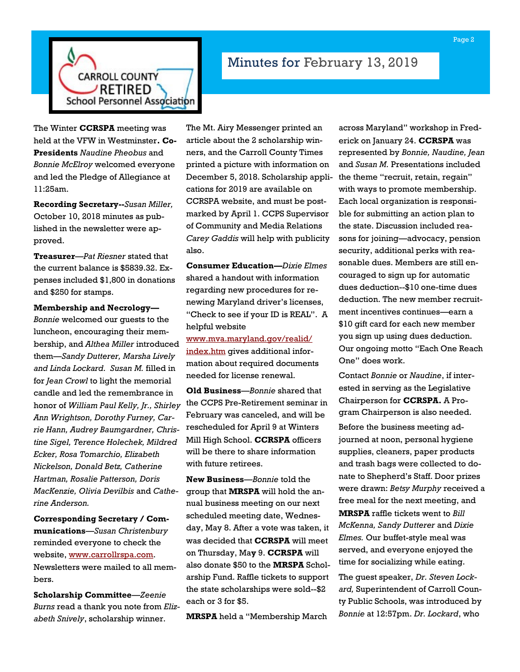

# Minutes for February 13, 2019

The Winter **CCRSPA** meeting was held at the VFW in Westminster**. Co-Presidents** *Naudine Pheobus* and *Bonnie McElroy* welcomed everyone and led the Pledge of Allegiance at 11:25am.

**Recording Secretary--***Susan Miller,*  October 10, 2018 minutes as published in the newsletter were approved.

**Treasurer**—*Pat Riesner* stated that the current balance is \$5839.32. Expenses included \$1,800 in donations and \$250 for stamps.

**Membership and Necrology—** *Bonnie* welcomed our guests to the luncheon, encouraging their membership, and *Althea Miller* introduced them—*Sandy Dutterer, Marsha Lively and Linda Lockard. Susan M.* filled in for *Jean Crowl* to light the memorial candle and led the remembrance in honor of *William Paul Kelly, Jr., Shirley Ann Wrightson, Dorothy Furney, Carrie Hann, Audrey Baumgardner, Christine Sigel, Terence Holechek, Mildred Ecker, Rosa Tomarchio, Elizabeth Nickelson, Donald Betz, Catherine Hartman, Rosalie Patterson, Doris MacKenzie, Olivia Devilbis* and *Catherine Anderson.*

**Corresponding Secretary / Communications**—*Susan Christenbury*  reminded everyone to check the website, [www.carrollrspa.com.](http://www.carrollrspa.com) Newsletters were mailed to all members.

**Scholarship Committee**—*Zeenie Burns* read a thank you note from *Elizabeth Snively*, scholarship winner.

The Mt. Airy Messenger printed an article about the 2 scholarship winners, and the Carroll County Times printed a picture with information on December 5, 2018. Scholarship applications for 2019 are available on CCRSPA website, and must be postmarked by April 1. CCPS Supervisor of Community and Media Relations *Carey Gaddis* will help with publicity also.

**Consumer Education—***Dixie Elmes* shared a handout with information regarding new procedures for renewing Maryland driver's licenses, "Check to see if your ID is REAL". A helpful website

[www.mva.maryland.gov/realid/](http://www.mva.maryland.gov/realid/index.htm)

[index.htm](http://www.mva.maryland.gov/realid/index.htm) gives additional information about required documents needed for license renewal.

**Old Business**—*Bonnie* shared that the CCPS Pre-Retirement seminar in February was canceled, and will be rescheduled for April 9 at Winters Mill High School. **CCRSPA** officers will be there to share information with future retirees.

**New Business**—*Bonnie* told the group that **MRSPA** will hold the annual business meeting on our next scheduled meeting date, Wednesday, May 8. After a vote was taken, it was decided that **CCRSPA** will meet on Thursday, Ma**y** 9. **CCRSPA** will also donate \$50 to the **MRSPA** Scholarship Fund. Raffle tickets to support the state scholarships were sold--\$2 each or 3 for \$5.

**MRSPA** held a "Membership March

across Maryland" workshop in Frederick on January 24. **CCRSPA** was represented by *Bonnie, Naudine, Jean* and *Susan M.* Presentations included the theme "recruit, retain, regain" with ways to promote membership. Each local organization is responsible for submitting an action plan to the state. Discussion included reasons for joining—advocacy, pension security, additional perks with reasonable dues. Members are still encouraged to sign up for automatic dues deduction--\$10 one-time dues deduction. The new member recruitment incentives continues—earn a \$10 gift card for each new member you sign up using dues deduction. Our ongoing motto "Each One Reach One" does work.

Contact *Bonnie* or *Naudine*, if interested in serving as the Legislative Chairperson for **CCRSPA.** A Program Chairperson is also needed.

Before the business meeting adjourned at noon, personal hygiene supplies, cleaners, paper products and trash bags were collected to donate to Shepherd's Staff. Door prizes were drawn: *Betsy Murphy* received a free meal for the next meeting, and **MRSPA** raffle tickets went to *Bill McKenna, Sandy Dutterer* and *Dixie Elmes.* Our buffet-style meal was served, and everyone enjoyed the time for socializing while eating.

The guest speaker, *Dr. Steven Lockard,* Superintendent of Carroll County Public Schools, was introduced by *Bonnie* at 12:57pm. *Dr. Lockard*, who